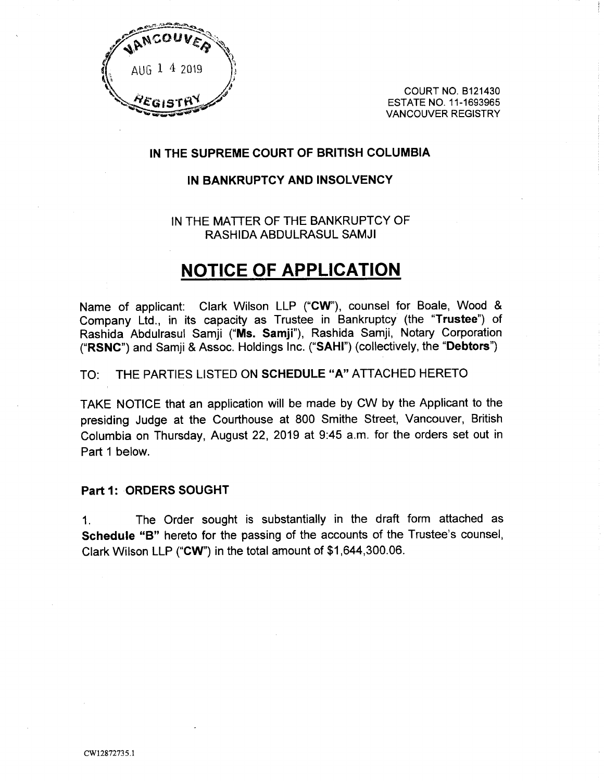

COURT NO. 6121430 ESTATE NO. 11-1693965 VANCOUVER REGISTRY

### IN THE SUPREME COURT OF BRITISH COLUMBIA

### IN BANKRUPTCY AND INSOLVENCY

### IN THE MATTER OF THE BANKRUPTCY OF RASHIDA ABDULRASUL SAMJI

### NOTICE OF APPLICATION

Name of applicant: Clark Wilson LLP ("CW"), counsel for Boale, Wood & Company Ltd., in its capacity as Trustee in Bankruptcy (the "Trustee") of Rashida Abdulrasul Samji ("Ms. Samji"), Rashida Samji, Notary Corporation ("RSNC") and Samji 8~ Assoc. Holdings Inc. ("SARI") (collectively, the "Debtors")

### TO: THE PARTIES LISTED ON SCHEDULE "A" ATTACHED HERETO

TAKE NOTICE that an application will be made by CW by the Applicant to the presiding Judge at the Courthouse at 800 Smithe Street, Vancouver, British Columbia on Thursday, August 22, 2019 at 9:45 a.m. for the orders set out in Part 1 below.

### Part 1: ORDERS SOUGHT

1. The Order sought is substantially in the draft form attached as Schedule "B" hereto for the passing of the accounts of the Trustee's counsel, Clark Wilson LLP ("CW") in the total amount of \$1,644,300.06.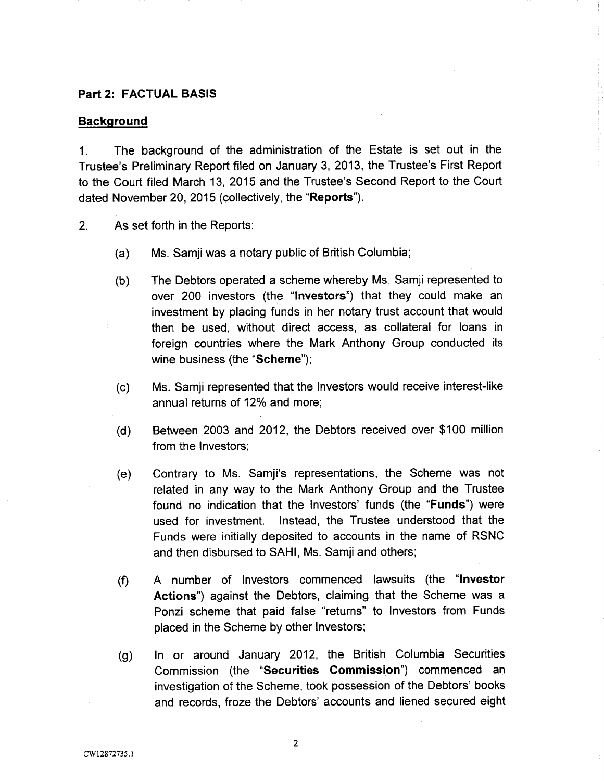### Part 2: FACTUAL BASIS

### Background

1. The background of the administration of the Estate is set out in the Trustee's Preliminary Report filed on January 3, 2013, the Trustee's First Report to the Court filed March 13, 2015 and the Trustee's Second Report to the Court dated November 20, 2015 (collectively, the "Reports").

2. As set forth in the Reports:

- (a) Ms. Samji was a notary public of British Columbia;
- (b) The Debtors operated a scheme whereby Ms. Samji represented to over 200 investors (the "**Investors**") that they could make an investment by placing funds in her notary trust account that would then be used, without direct access, as collateral for loans in foreign countries where the Mark Anthony Group conducted its wine business (the "Scheme");
- (c) Ms. Samji represented that the Investors would receive interest-like annual returns of 12% and more;
- (d) Between 2003 and 2012, the Debtors received over \$100 million from the Investors;
- (e) Contrary to Ms. Samji's representations, the Scheme was not related in any way to the Mark Anthony Group and the Trustee found no indication that the Investors' funds (the "Funds") were used for investment. Instead, the Trustee understood that the Funds were initially deposited to accounts in the name of RSNC and then disbursed to SAHI, Ms. Samji and others;
- (f) A number of Investors commenced lawsuits (the "Investor Actions") against the Debtors, claiming that the Scheme was a Ponzi scheme that paid false "returns" to Investors from Funds placed in the Scheme by other Investors;
- (g) In or around January 2012, the British Columbia Securities Commission (the "Securities Commission") commenced an investigation of the Scheme, took possession of the Debtors' books and records, froze the Debtors' accounts and liened secured eight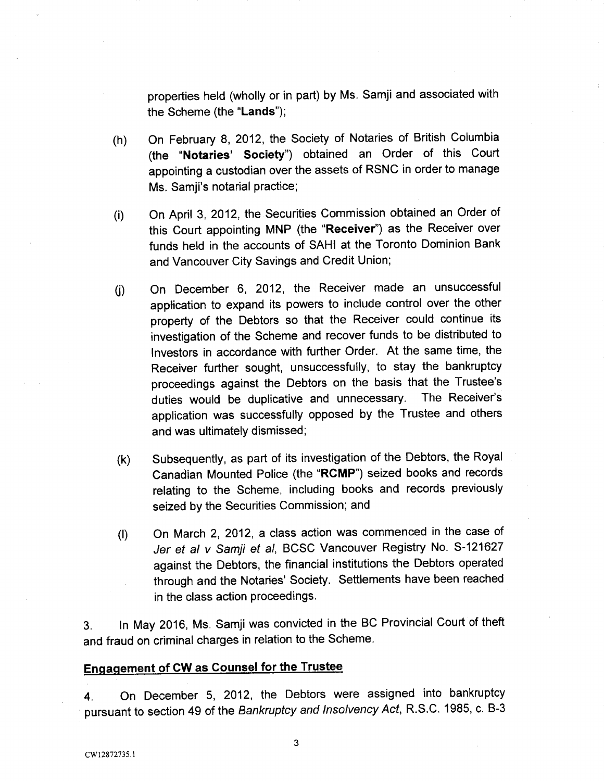properties held (wholly or in part) by Ms. Samji and associated with the Scheme (the "Lands");

- (h) On February 8, 2012, the Society of Notaries of British Columbia (the "Notaries' Society") obtained an Order of this Court <sup>a</sup>ppointing a custodian over the assets of RSNC in order to manage <sup>M</sup>s. Samji's notarial practice;
- (i) On April 3, 2012, the Securities Commission obtained an Order of <sup>t</sup>his Court appointing MNP (the "Receiver") as the Receiver over funds held in the accounts of SAHI at the Toronto Dominion Bank <sup>a</sup>nd Vancouver City Savings and Credit Union;
- (j) On December 6, 2012, the Receiver made an unsuccessful <sup>a</sup>pplication to expand its powers to include control over the other <sup>p</sup>roperty of the Debtors so that the Receiver could continue its <sup>i</sup>nvestigation of the Scheme and recover funds to be distributed to Investors in accordance with further Order. At the same time, the <sup>R</sup>eceiver further sought, unsuccessfully, to stay the bankruptcy <sup>p</sup>roceedings against the Debtors on the basis that the Trustee's <sup>d</sup>uties would be duplicative and unnecessary. The Receiver's <sup>a</sup>pplication was successfully opposed by the Trustee and others <sup>a</sup>nd was ultimately dismissed;
- (k) Subsequently, as part of its investigation of the Debtors, the Royal <sup>C</sup>anadian Mounted Police (the "RCMP") seized books and records <sup>r</sup>elating to the Scheme, including books and records previously <sup>s</sup>eized by the Securities Commission; and
- (I) On March 2, 2012, a class action was commenced in the case of Jer et al v Samji et al, BCSC Vancouver Registry No. S-121627 <sup>a</sup>gainst the Debtors, the financial institutions the Debtors operated <sup>t</sup>hrough and the Notaries' Society. Settlements have been reached iin the class action proceedings.

<sup>3</sup>. In May 2016, Ms. Samji was convicted in the BC Provincial Court of theft <sup>a</sup>nd fraud on criminal charges in relation to the Scheme.

### <sup>E</sup>ngaqement of CW as Counsel for the Trustee

<sup>4</sup>. On December 5, 2012, the Debtors were assigned into bankruptcy <sup>p</sup>ursuant to section 49 of the Bankruptcy and Insolvency Act, R.S.C. 1985, c. B-3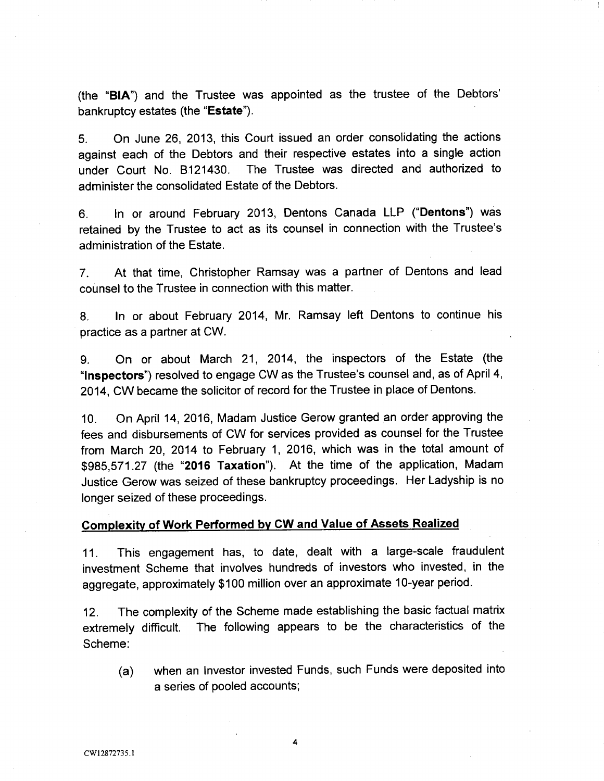(the "BIA") and the Trustee was appointed as the trustee of the Debtors' bankruptcy estates (the "Estate").

5. On June 26, 2013, this Court issued an order consolidating the actions against each of the Debtors and their respective estates into a single action under Court No. 6121430. The Trustee was directed and authorized to administer the consolidated Estate of the Debtors.

6. In or around February 2013, Dentons Canada LLP ("Dentons") was retained by the Trustee to act as its counsel in connection with the Trustee's administration of the Estate.

7. At that time, Christopher Ramsay was a partner of Dentons and lead counsel to the Trustee in connection with this matter.

8. In or about February 2014, Mr. Ramsay left Dentons to continue his practice as a partner at CW.

9. On or about March 21, 2014, the inspectors of the Estate (the "Inspectors") resolved to engage CW as the Trustee's counsel and, as of April 4, 2014, CW became the solicitor of record for the Trustee in place of Dentons.

10. On April 14, 2016, Madam Justice Gerow granted an order approving the fees and disbursements of CW for services provided as counsel for the Trustee from March 20, 2014 to February 1, 2016, which was in the total amount of \$985,571.27 (the "2016 Taxation"). At the time of the application, Madam Justice Gerow was seized of these bankruptcy proceedings. Her Ladyship is no longer seized of these proceedings.

### Complexity of Work Performed by CW and Value of Assets Realized

11. This engagement has, to date, dealt with a large-scale fraudulent investment Scheme that involves hundreds of investors who invested, in the aggregate, approximately \$100 million over an approximate 10-year period.

12. The complexity of the Scheme made establishing the basic factual matrix extremely difficult. The following appears to be the characteristics of the Scheme:

(a) when an Investor invested Funds, such Funds were deposited into a series of pooled accounts;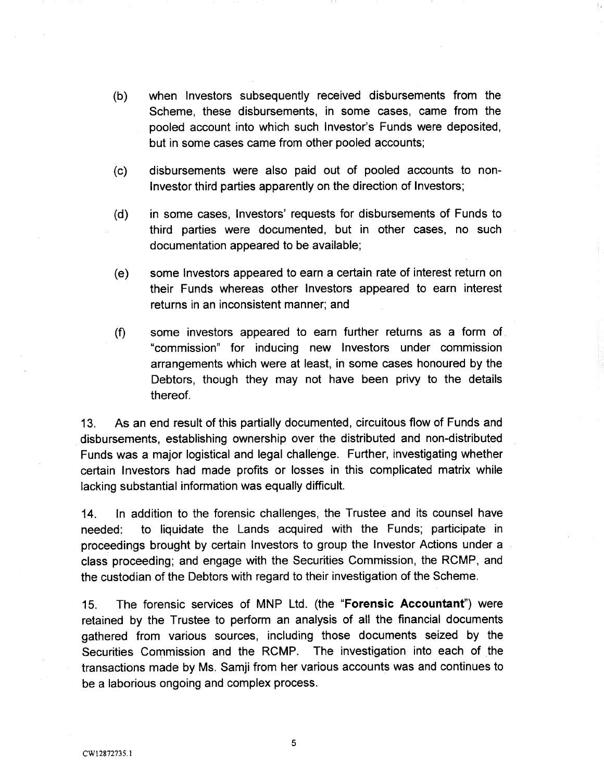- (b) when Investors subsequently received disbursements from the Scheme, these disbursements, in some cases, came from the pooled account into which such Investor's Funds were deposited, but in some cases came from other pooled accounts;
- (c) disbursements were also paid out of pooled accounts to non-Investor third parties apparently on the direction of Investors;
- (d) in some cases, Investors' requests for disbursements of Funds to third parties were documented, but in other cases, no such documentation appeared to be available;
- (e) some Investors appeared to earn a certain rate of interest return on their Funds whereas other Investors appeared to earn interest returns in an inconsistent manner; and
- $(f)$  some investors appeared to earn further returns as a form of "commission" for inducing new Investors under commission arrangements which were at least, in some cases honoured by the Debtors, though they may not have been privy to the details thereof.

13. As an end result of this partially documented, circuitous flow of Funds and disbursements, establishing ownership over the distributed and non-distributed Funds was a major logistical and legal challenge. Further, investigating whether certain Investors had made profits or losses in this complicated matrix while lacking substantial information was equally difficult.

14. In addition to the forensic challenges, the Trustee and its counsel have needed: to liquidate the Lands acquired with the Funds; participate in proceedings brought by certain Investors to group the Investor Actions under a class proceeding; and engage with the Securities Commission, the RCMP, and the custodian of the Debtors with regard to their investigation of the Scheme.

15. The forensic services of MNP Ltd. (the "Forensic Accountant") were retained by the Trustee to perform an analysis of all the financial documents gathered from various sources, including those documents seized by the Securities Commission and the RCMP. The investigation into each of the transactions made by Ms. Samji from her various accounts was and continues to be a laborious ongoing and complex process.

5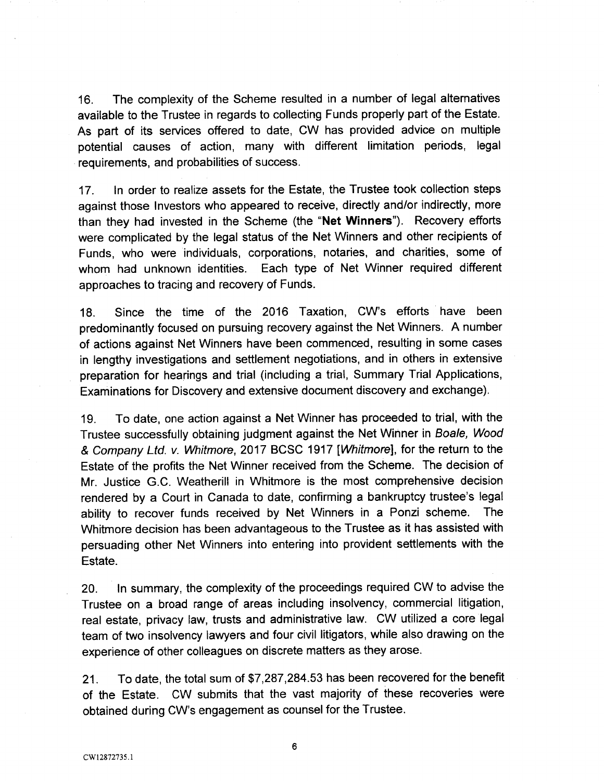16. The complexity of the Scheme resulted in a number of legal alternatives available to the Trustee in regards to collecting Funds properly part of the Estate. As part of its services offered to date, CW has provided advice on multiple potential causes of action, many with different limitation periods, legal requirements, and probabilities of success.

17. In order to realize assets for the Estate, the Trustee took collection steps against those Investors who appeared to receive, directly and/or indirectly, more than they had invested in the Scheme (the "Net Winners"). Recovery efforts were complicated by the legal status of the Net Winners and other recipients of Funds, who were individuals, corporations, notaries, and charities, some of whom had unknown identities. Each type of Net Winner required different approaches to tracing and recovery of Funds.

18. Since the time of the 2016 Taxation, CW's efforts have been predominantly focused on pursuing recovery against the Net Winners. A number of actions against Net Winners have been commenced, resulting in some cases in lengthy investigations and settlement negotiations, and in others in extensive preparation for hearings and trial (including a trial, Summary Trial Applications, Examinations for Discovery and extensive document discovery and exchange).

19. To date, one action against a Net Winner has proceeded to trial, with the Trustee successfully obtaining judgment against the Net Winner in Boale, Wood & Company Lfd. v. Whitmore, 2017 BCSC 1917 [Whitmore], for the return to the Estate of the profits the Net Winner received from the Scheme. The decision of Mr. Justice G.C. Weatherill in Whitmore is the most comprehensive decision rendered by a Court in Canada to date, confirming a bankruptcy trustee's legal ability to recover funds received by Net Winners in a Ponzi scheme. The Whitmore decision has been advantageous to the Trustee as it has assisted with persuading other Net Winners into entering into provident settlements with the Estate.

20. In summary, the complexity of the proceedings required CW to advise the Trustee on a broad range of areas including insolvency, commercial litigation, real estate, privacy law, trusts and administrative law. CW utilized a core legal team of two insolvency lawyers and four civil litigators, while also drawing on the experience of other colleagues on discrete matters as they arose.

21. To date, the total sum of \$7,287,284.53 has been recovered for the benefit of the Estate. CW submits that the vast majority of these recoveries were obtained during CW's engagement as counsel for the Trustee.

6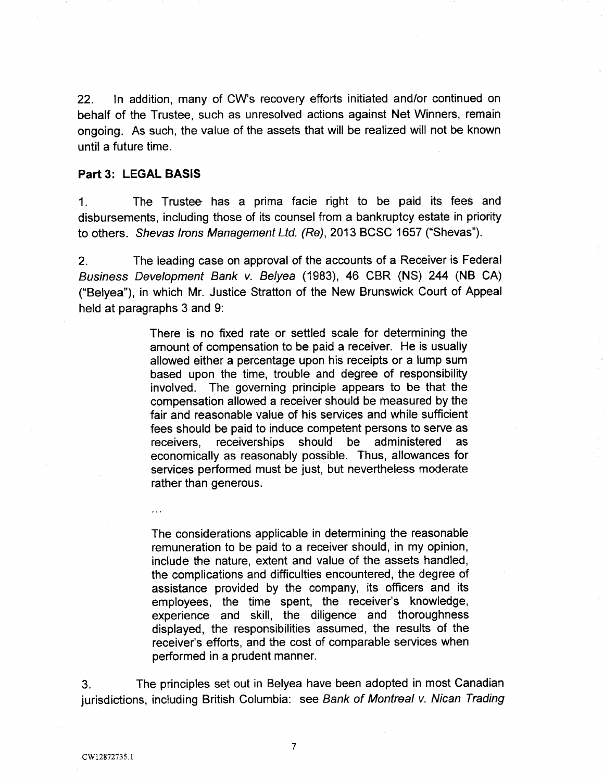22. In addition, many of CW's recovery efforts initiated and/or continued on behalf of the Trustee, such as unresolved actions against Net Winners, remain ongoing. As such, the value of the assets that will be realized will not be known until a future time.

### Part 3: LEGAL BASIS

1. The Trustee has a prima facie right to be paid its fees and disbursements, including those of its counsel from a bankruptcy estate in priority to others. Shevas Irons Management Ltd. (Re), 2013 BCSC 1657 ("Shevas").

2. The leading case on approval of the accounts of a Receiver is Federal Business Development Bank v. Belyea (1983), 46 CBR (NS) 244 (NB CA) ("Belyea"), in which Mr. Justice Stratton of the New- Brunswick Court of Appeal held at paragraphs 3 and 9:

> There is no fixed rate or settled scale for determining the amount of compensation to be paid a receiver. He is usually allowed either a percentage upon his receipts or a lump sum based upon the time, trouble and degree of responsibility involved. The governing principle appears to be that the compensation allowed a receiver should be measured by the fair and reasonable value of his services and while sufficient fees should be paid to induce competent persons to serve as receivers, receiverships should be administered as economically as reasonably possible. Thus, allowances for services performed must be just, but nevertheless moderate rather than generous.

> The considerations applicable in determining the reasonable remuneration to be paid to a receiver should, in my opinion, include the nature, extent and value of the assets handled, the complications and difficulties encountered, the degree of assistance provided by the company, its officers and its employees, the time spent, the receiver's knowledge, experience and skill, the diligence and thoroughness displayed, the responsibilities assumed, the results of the receiver's efforts, and the cost of comparable services when performed in a prudent manner.

3. The principles set out in Belyea have been adopted in most Canadian jurisdictions, including British Columbia: see Bank of Montreal v. Nican Trading

 $\overline{7}$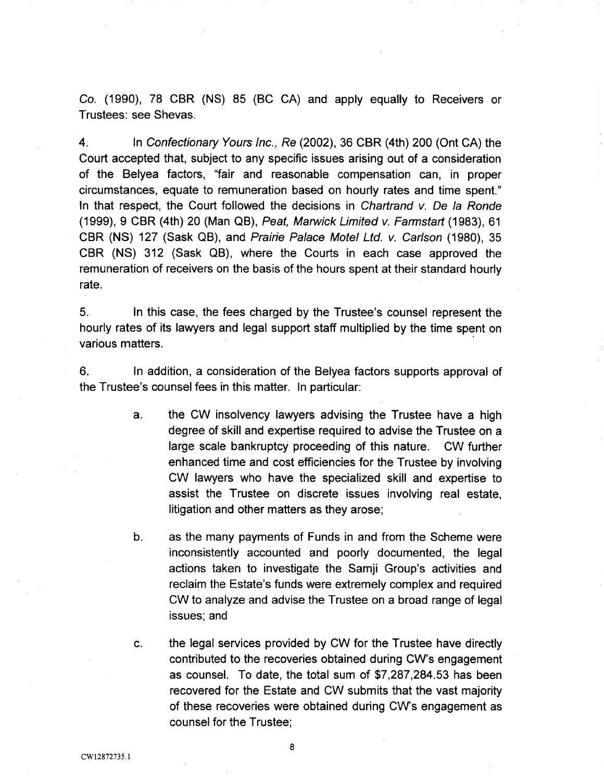Co. (1990), 78 CBR (NS) 85 (BC CA) and apply equally to Receivers or Trustees: see Shevas.

4. In Confectionary Yours lnc., Re (2002), 36 CBR (4th) 200 (Ont CA) the Court accepted that, subject to any specific issues arising out of a consideration of the Belyea factors, "fair and reasonable compensation can, in proper circumstances, equate to remuneration based on hourly rates and time spent." In that respect, the Court followed the decisions in Chartrand v. De la Ronde (1999), 9 CBR (4th) 20 (Man QB), Peat, Marwick Limited v. Farmstart (1983), 61 CBR (NS) 127 (Bask QB), and Prairie Palace Motel Ltd. v. Carlson (1980), 35 CBR (NS) 312 (Bask QB), where the Courts in each case approved the remuneration of receivers on the basis of the hours spent at their standard hourly rate.

5. In this case, the fees charged by the Trustee's counsel represent the hourly rates of its lawyers and legal support staff multiplied by the time spent on various matters.

6. In addition, a consideration of the Belyea factors supports approval of the Trustee's counsel fees in this matter. In particular:

- a. the CW insolvency lawyers advising the Trustee have a high degree of skill and expertise required to advise the Trustee on a large scale bankruptcy proceeding of this nature. CW further enhanced time and cost efficiencies for the Trustee by involving CW lawyers who have the specialized skill and expertise to assist the Trustee on discrete issues involving real estate, litigation and other matters as they arose;
- b. as the many payments of Funds in and from the Scheme were inconsistently accounted and poorly documented, the legal actions taken to investigate the Samji Group's activities and reclaim the Estate's funds were extremely complex and required CW to analyze and advise the Trustee on a broad range of legal issues; and
- c. the legal services provided by CW for the Trustee have directly contributed to the recoveries obtained during CW's engagement as counsel. To date, the total sum of \$7,287,284.53 has been recovered for the Estate and CW submits that the vast majority of these recoveries were obtained during CW's engagement as counsel for the Trustee;

s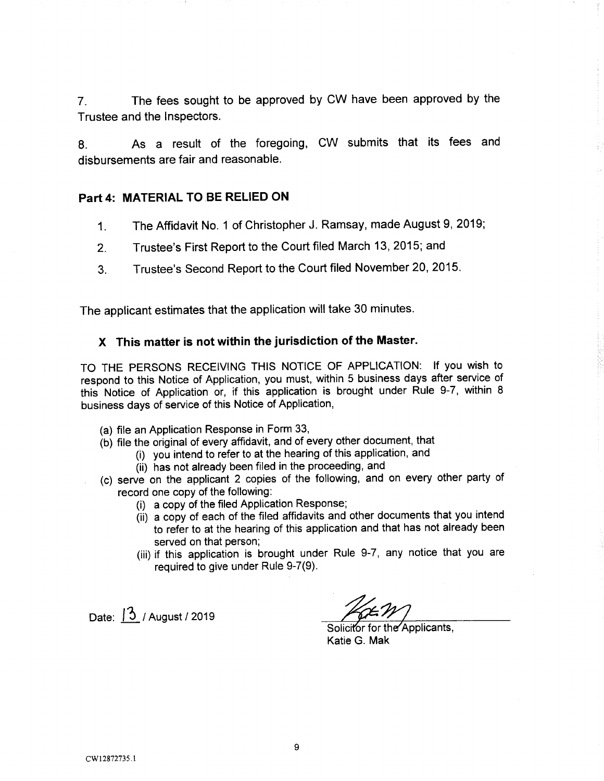7. The fees sought to be approved by CW have been approved by the Trustee and the Inspectors.

<sup>8</sup>. As a result of the foregoing, CW submits that its fees and disbursements are fair and reasonable.

### Part 4: MATERIAL TO BE RELIED ON

- 1. The Affidavit No. 1 of Christopher J. Ramsay, made August 9, 2019;
- <sup>2</sup>. Trustee's First Report to the Court filed March 13, 2015; and
- 3. Trustee's Second Report to the Court filed November 20, 2015.

<sup>T</sup>he applicant estimates that the application will take 30 minutes.

### X This matter is not within the jurisdiction of the Master.

<sup>T</sup>O THE PERSONS RECEIVING THIS NOTICE OF APPLICATION: If you wish to <sup>r</sup>espond to this Notice of Application, you must, within 5 business days after service of <sup>t</sup>his Notice of Application or, if this application is brought under Rule 9-7, within <sup>8</sup> <sup>b</sup>usiness days of service of this Notice of Application,

- (a) file an Application Response in Form 33,
- (b) file the original of every affidavit, and of every other document, that
	- (i) you intend to refer to at the hearing of this application, and
	- (ii) has not already been filed in the proceeding, and
- (c) serve on the applicant 2 copies of the following, and on every other party of <sup>r</sup>ecord one copy of the following:
	- (i) <sup>a</sup>copy of the filed Application Response;
	- (ii) a copy of each of the filed affidavits and other documents that you intend <sup>t</sup>o refer to at the hearing of this application and that has not already been <sup>s</sup>erved on that person;
	- (iii) if this application is brought under Rule 9-7, any notice that you are <sup>r</sup>equired to give under Rule 9-7(9).

Date:  $\sqrt{3}$  / August / 2019

Solicitor for the Applicants, Katie G. Mak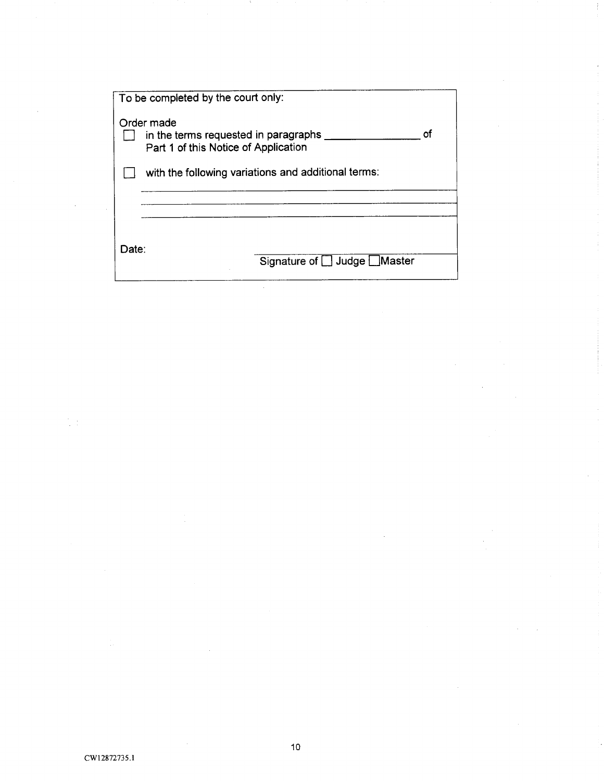| To be completed by the court only:                                                                    |
|-------------------------------------------------------------------------------------------------------|
| Order made<br>οf<br>in the terms requested in paragraphs ____<br>Part 1 of this Notice of Application |
| with the following variations and additional terms:                                                   |
|                                                                                                       |
|                                                                                                       |
| Date:                                                                                                 |
| Signature of Judge Master                                                                             |

 $\ddagger$ 

t)<br>D  $\frac{1}{\alpha}$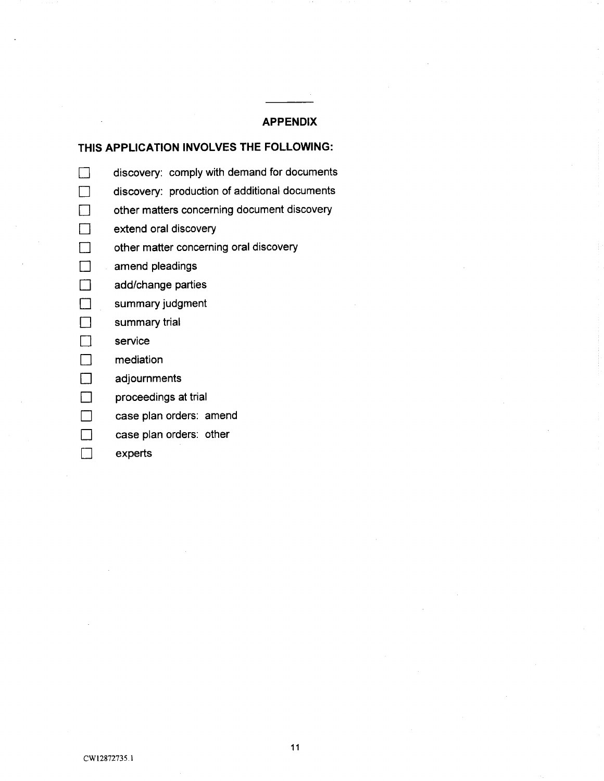### APPENDIX

### THIS APPLICATION INVOLVES THE FOLLOWING:

- ❑ discovery: comply with demand for documents
- □ discovery: production of additional documents
- □ other matters concerning document discovery
- □ extend oral discovery
- □ other matter concerning oral discovery
- ❑ amend pleadings
- ❑ add/change parties
- ❑ summary judgment
- ❑ summary trial
- ❑ service
- ❑ mediation
- ❑ adjournments
- □ proceedings at trial
- □ case plan orders: amend
- □ case plan orders: other
- ❑ experts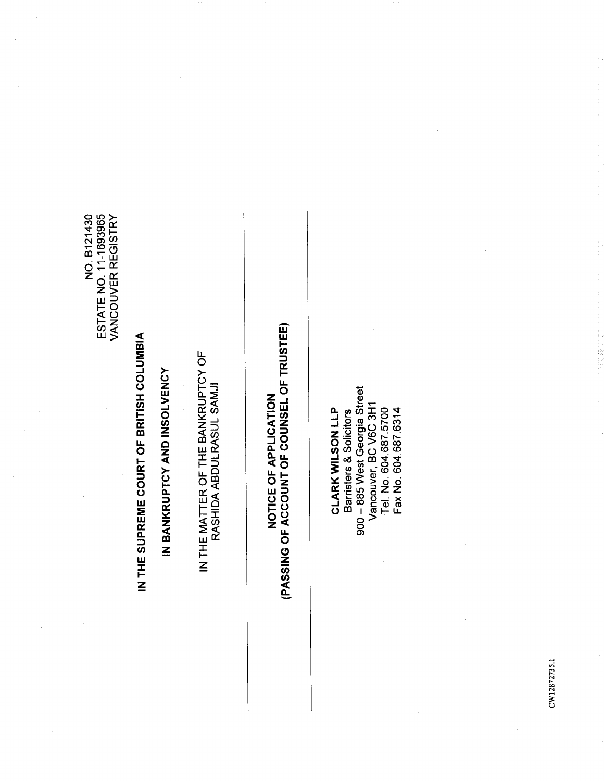ESTATE NO. 11-1693965<br>VANCOUVER REGISTRY NO. B121430 ESTATE NO. 11-1693965 VANCOUVER REGISTRY NO. B121430

# IN THE SUPREME COURT OF BRITISH COLUMBIA N THE SUPREME COURT OF BRITISH COLUMBIA

IN BANKRUPTCY AND INSOLVENCY N BANKRUPTCY AND INSOLVENCY IN THE MATTER OF THE BANKRUPTCY OF<br>RASHIDA ABDULRASUL SAMJI N THE MATTER OF THE BANKRUPTCY OF RASHIDA ABDULRASUL SAMJI

## **NOTICE OF APPLICATION<br>(PASSING OF ACCOUNT OF COUNSEL OF TRUSTEE)** (PASSING OF ACCOUNT OF COUNSEL OF TRUSTEE) NOTICE OF APPLICATION

900 - 885 West Georgia Street 900 — 885 West Georgia Street Vancouver, BC V6C 3H1<br>Tel. No. 604.687.5700<br>Fax No. 604.687.6314 Vancouver, BC V6C 3H1 **CLARK WILSON LLP**<br>Barristers & Solicitors CLARK WILSON LLP Tel. No. 604.687.5700 Fax No. 604.687.6314 Barristers & Solicitors

> CW12872735.1 CW 12872735.1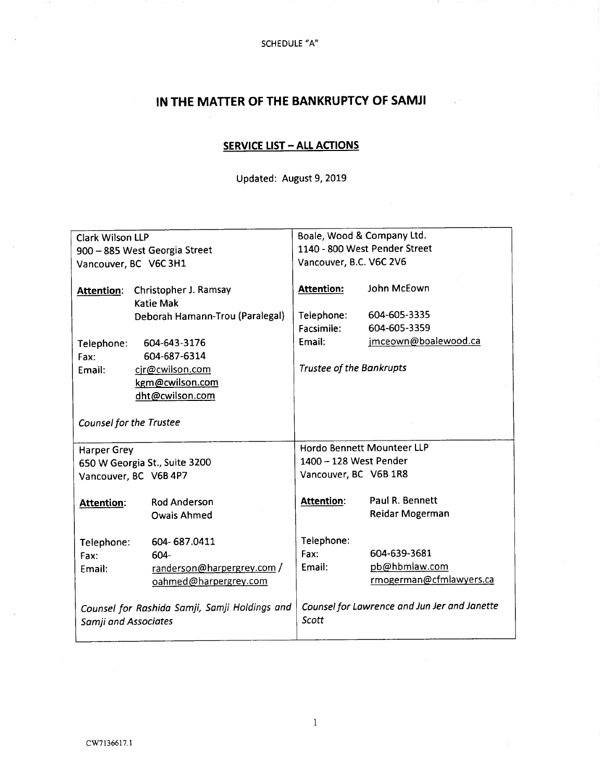### IN THE MATTER OF THE BANKRUPTCY OF SAMJI

 $\sim$   $^{\circ}$ 

### **SERVICE LIST - ALL ACTIONS**

Updated: August 9, 2019

| Clark Wilson LLP               |                                                     | Boale, Wood & Company Ltd.    |                                              |
|--------------------------------|-----------------------------------------------------|-------------------------------|----------------------------------------------|
| 900 - 885 West Georgia Street  |                                                     | 1140 - 800 West Pender Street |                                              |
| Vancouver, BC V6C 3H1          |                                                     | Vancouver, B.C. V6C 2V6       |                                              |
|                                |                                                     |                               |                                              |
| <b>Attention:</b>              | Christopher J. Ramsay                               | <b>Attention:</b>             | John McEown                                  |
|                                | <b>Katie Mak</b>                                    |                               |                                              |
|                                | Deborah Hamann-Trou (Paralegal)                     | Telephone:                    | 604-605-3335                                 |
|                                |                                                     | Facsimile:                    | 604-605-3359                                 |
| Telephone:                     | 604-643-3176                                        | Email:                        | jmceown@boalewood.ca                         |
| Fax:                           | 604-687-6314                                        |                               |                                              |
| Email:                         | cir@cwilson.com                                     | Trustee of the Bankrupts      |                                              |
|                                | kgm@cwilson.com                                     |                               |                                              |
|                                | dht@cwilson.com                                     |                               |                                              |
|                                |                                                     |                               |                                              |
| <b>Counsel for the Trustee</b> |                                                     |                               |                                              |
|                                |                                                     |                               |                                              |
|                                |                                                     |                               |                                              |
| <b>Harper Grey</b>             |                                                     |                               | Hordo Bennett Mounteer LLP                   |
|                                | 650 W Georgia St., Suite 3200                       | 1400 - 128 West Pender        |                                              |
|                                | Vancouver, BC V6B 4P7                               | Vancouver, BC V6B 1R8         |                                              |
|                                |                                                     |                               |                                              |
| <b>Attention:</b>              | Rod Anderson                                        | <b>Attention:</b>             | Paul R. Bennett                              |
|                                | <b>Owais Ahmed</b>                                  |                               | Reidar Mogerman                              |
|                                |                                                     |                               |                                              |
| Telephone:                     | 604-687.0411                                        | Telephone:                    |                                              |
| Fax:                           | 604-                                                | Fax:                          | 604-639-3681                                 |
| Email:                         |                                                     | Email:                        | pb@hbmlaw.com                                |
|                                | randerson@harpergrey.com /<br>oahmed@harpergrey.com |                               | rmogerman@cfmlawyers.ca                      |
|                                |                                                     |                               |                                              |
|                                |                                                     |                               | Counsel for Lawrence and Jun Jer and Janette |
| <b>Samji and Associates</b>    | Counsel for Rashida Samji, Samji Holdings and       | Scott                         |                                              |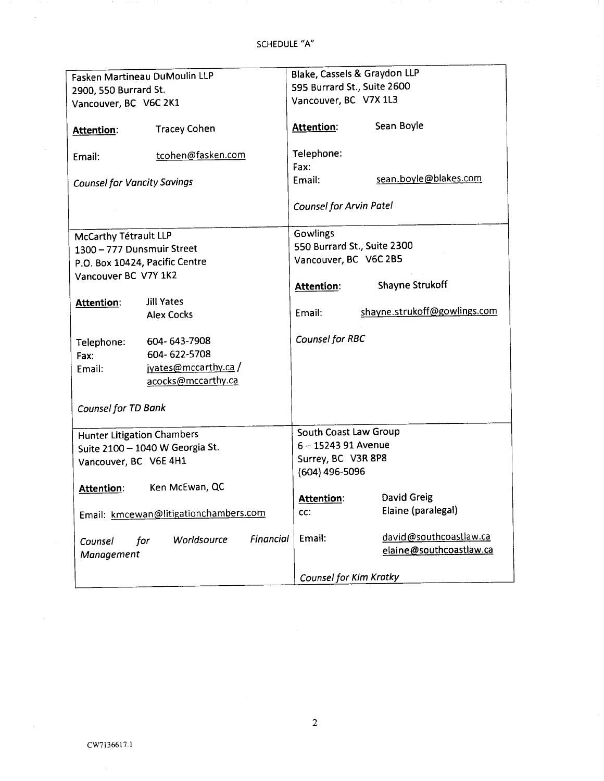$\frac{1}{\alpha}$ 

|                                    |                                       |                             |                             | Blake, Cassels & Graydon LLP |
|------------------------------------|---------------------------------------|-----------------------------|-----------------------------|------------------------------|
| Fasken Martineau DuMoulin LLP      |                                       | 595 Burrard St., Suite 2600 |                             |                              |
| 2900, 550 Burrard St.              |                                       | Vancouver, BC V7X 1L3       |                             |                              |
| Vancouver, BC V6C 2K1              |                                       |                             |                             |                              |
| Attention:                         | <b>Tracey Cohen</b>                   |                             | <b>Attention:</b>           | Sean Boyle                   |
| Email:                             | tcohen@fasken.com                     |                             | Telephone:<br>Fax:          |                              |
| <b>Counsel for Vancity Savings</b> |                                       |                             | Email:                      | sean.boyle@blakes.com        |
|                                    |                                       |                             | Counsel for Arvin Patel     |                              |
| McCarthy Tétrault LLP              |                                       |                             | Gowlings                    |                              |
| 1300 - 777 Dunsmuir Street         |                                       |                             | 550 Burrard St., Suite 2300 |                              |
| P.O. Box 10424, Pacific Centre     |                                       |                             | Vancouver, BC V6C 2B5       |                              |
| Vancouver BC V7Y 1K2               |                                       |                             |                             |                              |
|                                    |                                       |                             | <b>Attention:</b>           | <b>Shayne Strukoff</b>       |
| Attention:                         | <b>Jill Yates</b>                     |                             |                             |                              |
|                                    | <b>Alex Cocks</b>                     |                             | Email:                      | shayne.strukoff@gowlings.com |
|                                    |                                       |                             |                             |                              |
| Telephone:                         | 604-643-7908                          |                             | <b>Counsel for RBC</b>      |                              |
| Fax:                               | 604-622-5708                          |                             |                             |                              |
| Email:                             | jyates@mccarthy.ca/                   |                             |                             |                              |
|                                    | acocks@mccarthy.ca                    |                             |                             |                              |
|                                    |                                       |                             |                             |                              |
| Counsel for TD Bank                |                                       |                             |                             |                              |
|                                    |                                       |                             |                             |                              |
| <b>Hunter Litigation Chambers</b>  |                                       |                             | South Coast Law Group       |                              |
|                                    | Suite 2100 - 1040 W Georgia St.       |                             | $6 - 1524391$ Avenue        |                              |
| Vancouver, BC V6E 4H1              |                                       |                             | Surrey, BC V3R 8P8          |                              |
|                                    |                                       |                             | (604) 496-5096              |                              |
| Attention:                         | Ken McEwan, QC                        |                             |                             | David Greig                  |
|                                    |                                       |                             | Attention:                  | Elaine (paralegal)           |
|                                    | Email: kmcewan@litigationchambers.com |                             | CC:                         |                              |
|                                    | Worldsource                           | Financial                   | Email:                      | david@southcoastlaw.ca       |
| for<br>Counsel                     |                                       |                             |                             | elaine@southcoastlaw.ca      |
| Management                         |                                       |                             |                             |                              |
|                                    |                                       |                             | Counsel for Kim Kratky      |                              |

 $\bar{z}$ 

 $\bar{z}$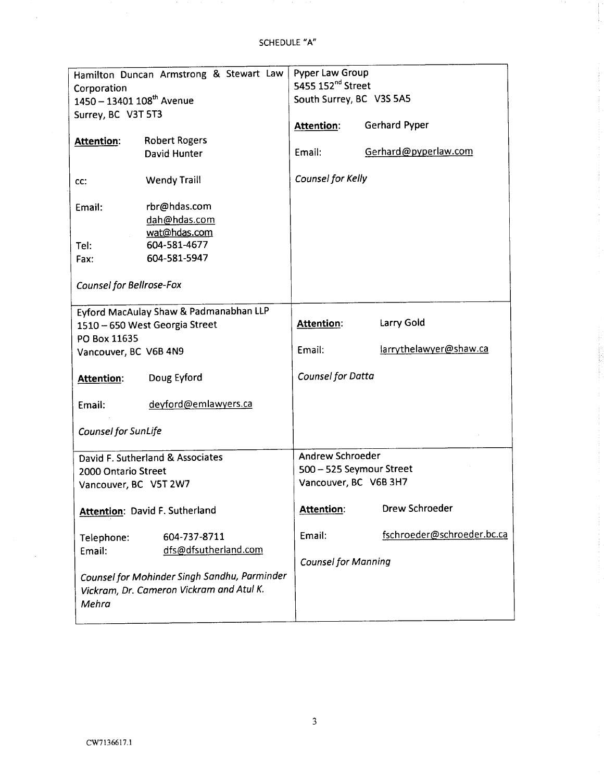|                                          | Hamilton Duncan Armstrong & Stewart Law      | Pyper Law Group               |                            |
|------------------------------------------|----------------------------------------------|-------------------------------|----------------------------|
| Corporation<br>1450 - 13401 108th Avenue |                                              | 5455 152 <sup>nd</sup> Street |                            |
|                                          |                                              | South Surrey, BC V3S 5A5      |                            |
| Surrey, BC V3T 5T3                       |                                              |                               |                            |
|                                          |                                              | <b>Attention:</b>             | <b>Gerhard Pyper</b>       |
| Attention:                               | <b>Robert Rogers</b>                         |                               |                            |
|                                          | David Hunter                                 | Email:                        | Gerhard@pyperlaw.com       |
|                                          |                                              |                               |                            |
|                                          | <b>Wendy Traill</b>                          | Counsel for Kelly             |                            |
| CC:                                      |                                              |                               |                            |
|                                          |                                              |                               |                            |
| Email:                                   | rbr@hdas.com                                 |                               |                            |
|                                          | dah@hdas.com                                 |                               |                            |
|                                          | wat@hdas.com                                 |                               |                            |
| Tel:                                     | 604-581-4677                                 |                               |                            |
| Fax:                                     | 604-581-5947                                 |                               |                            |
|                                          |                                              |                               |                            |
| Counsel for Bellrose-Fox                 |                                              |                               |                            |
|                                          |                                              |                               |                            |
|                                          | Eyford MacAulay Shaw & Padmanabhan LLP       |                               |                            |
|                                          | 1510 - 650 West Georgia Street               | <b>Attention:</b>             | Larry Gold                 |
| PO Box 11635                             |                                              |                               |                            |
| Vancouver, BC V6B 4N9                    |                                              | Email:                        | larrythelawyer@shaw.ca     |
|                                          |                                              |                               |                            |
| <b>Attention:</b>                        | Doug Eyford                                  | Counsel for Datta             |                            |
|                                          |                                              |                               |                            |
|                                          |                                              |                               |                            |
| Email:                                   | deyford@emlawyers.ca                         |                               |                            |
|                                          |                                              |                               |                            |
| Counsel for SunLife                      |                                              |                               |                            |
|                                          |                                              |                               |                            |
|                                          | David F. Sutherland & Associates             | Andrew Schroeder              |                            |
| 2000 Ontario Street                      |                                              | 500 - 525 Seymour Street      |                            |
| Vancouver, BC V5T 2W7                    |                                              | Vancouver, BC V6B 3H7         |                            |
|                                          |                                              |                               |                            |
|                                          | Attention: David F. Sutherland               | <b>Attention:</b>             | <b>Drew Schroeder</b>      |
|                                          |                                              |                               |                            |
| Telephone:                               | 604-737-8711                                 | Email:                        | fschroeder@schroeder.bc.ca |
| Email:                                   | dfs@dfsutherland.com                         |                               |                            |
|                                          |                                              | <b>Counsel for Manning</b>    |                            |
|                                          |                                              |                               |                            |
|                                          | Counsel for Mohinder Singh Sandhu, Parminder |                               |                            |
|                                          | Vickram, Dr. Cameron Vickram and Atul K.     |                               |                            |
| Mehra                                    |                                              |                               |                            |
|                                          |                                              |                               |                            |

 $\mathcal{L}$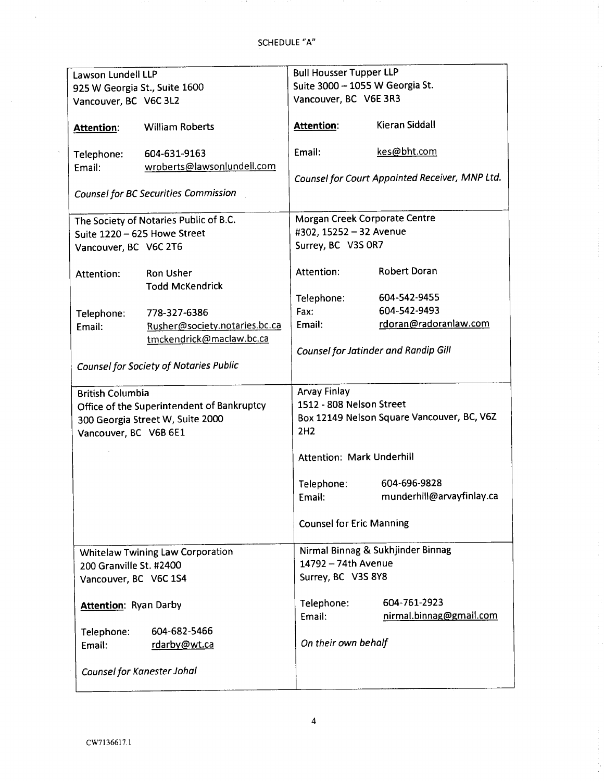| Lawson Lundell LLP                          |                                               | <b>Bull Housser Tupper LLP</b>             |                                                |  |
|---------------------------------------------|-----------------------------------------------|--------------------------------------------|------------------------------------------------|--|
| 925 W Georgia St., Suite 1600               |                                               | Suite 3000 - 1055 W Georgia St.            |                                                |  |
| Vancouver, BC V6C 3L2                       |                                               | Vancouver, BC V6E 3R3                      |                                                |  |
| Attention:                                  | <b>William Roberts</b>                        | <b>Attention:</b>                          | <b>Kieran Siddall</b>                          |  |
| Telephone:                                  | 604-631-9163                                  | Email:                                     | kes@bht.com                                    |  |
| Email:                                      | wroberts@lawsonlundell.com                    |                                            |                                                |  |
| <b>Counsel for BC Securities Commission</b> |                                               |                                            | Counsel for Court Appointed Receiver, MNP Ltd. |  |
| The Society of Notaries Public of B.C.      |                                               | Morgan Creek Corporate Centre              |                                                |  |
| Suite 1220 - 625 Howe Street                |                                               | #302, 15252 - 32 Avenue                    |                                                |  |
| Vancouver, BC V6C 2T6                       |                                               | Surrey, BC V3S OR7                         |                                                |  |
|                                             |                                               |                                            |                                                |  |
| Attention:                                  | <b>Ron Usher</b>                              | Attention:                                 | <b>Robert Doran</b>                            |  |
|                                             | <b>Todd McKendrick</b>                        |                                            | 604-542-9455                                   |  |
|                                             |                                               | Telephone:                                 | 604-542-9493                                   |  |
| Telephone:                                  | 778-327-6386                                  | Fax:                                       |                                                |  |
| Email:                                      | Rusher@society.notaries.bc.ca                 | Email:                                     | rdoran@radoranlaw.com                          |  |
|                                             | tmckendrick@maclaw.bc.ca                      |                                            |                                                |  |
|                                             |                                               |                                            | Counsel for Jatinder and Randip Gill           |  |
|                                             | <b>Counsel for Society of Notaries Public</b> |                                            |                                                |  |
| <b>British Columbia</b>                     |                                               | Arvay Finlay                               |                                                |  |
|                                             | Office of the Superintendent of Bankruptcy    |                                            | 1512 - 808 Nelson Street                       |  |
|                                             | 300 Georgia Street W, Suite 2000              | Box 12149 Nelson Square Vancouver, BC, V6Z |                                                |  |
| Vancouver, BC V6B 6E1                       |                                               | 2H <sub>2</sub>                            |                                                |  |
|                                             |                                               | <b>Attention: Mark Underhill</b>           |                                                |  |
|                                             |                                               | Telephone:                                 | 604-696-9828                                   |  |
|                                             |                                               | Email:                                     | munderhill@arvayfinlay.ca                      |  |
|                                             |                                               |                                            |                                                |  |
|                                             |                                               | <b>Counsel for Eric Manning</b>            |                                                |  |
|                                             | <b>Whitelaw Twining Law Corporation</b>       | Nirmal Binnag & Sukhjinder Binnag          |                                                |  |
| 200 Granville St. #2400                     |                                               | 14792 - 74th Avenue                        |                                                |  |
| Vancouver, BC V6C 1S4                       |                                               | Surrey, BC V3S 8Y8                         |                                                |  |
|                                             |                                               |                                            |                                                |  |
| <b>Attention: Ryan Darby</b>                |                                               | Telephone:                                 | 604-761-2923                                   |  |
|                                             |                                               | Email:                                     | nirmal.binnag@gmail.com                        |  |
| Telephone:                                  | 604-682-5466                                  |                                            |                                                |  |
| Email:                                      | rdarby@wt.ca                                  | On their own behalf                        |                                                |  |
|                                             |                                               |                                            |                                                |  |
| Counsel for Kanester Johal                  |                                               |                                            |                                                |  |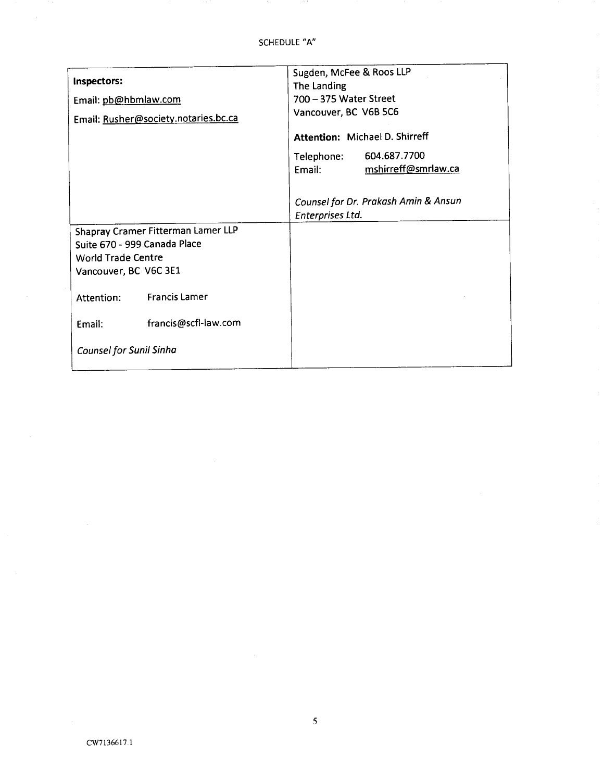|                                      | Sugden, McFee & Roos LLP                                    |  |  |
|--------------------------------------|-------------------------------------------------------------|--|--|
| Inspectors:                          | The Landing                                                 |  |  |
| Email: pb@hbmlaw.com                 | 700 - 375 Water Street                                      |  |  |
| Email: Rusher@society.notaries.bc.ca | Vancouver, BC V6B 5C6                                       |  |  |
|                                      | Attention: Michael D. Shirreff                              |  |  |
|                                      | 604.687.7700<br>Telephone:<br>mshirreff@smrlaw.ca<br>Email: |  |  |
|                                      | Counsel for Dr. Prakash Amin & Ansun<br>Enterprises Ltd.    |  |  |
| Shapray Cramer Fitterman Lamer LLP   |                                                             |  |  |
| Suite 670 - 999 Canada Place         |                                                             |  |  |
| <b>World Trade Centre</b>            |                                                             |  |  |
| Vancouver, BC V6C 3E1                |                                                             |  |  |
| <b>Francis Lamer</b><br>Attention:   |                                                             |  |  |
| francis@scfl-law.com<br>Email:       |                                                             |  |  |
| <b>Counsel for Sunil Sinha</b>       |                                                             |  |  |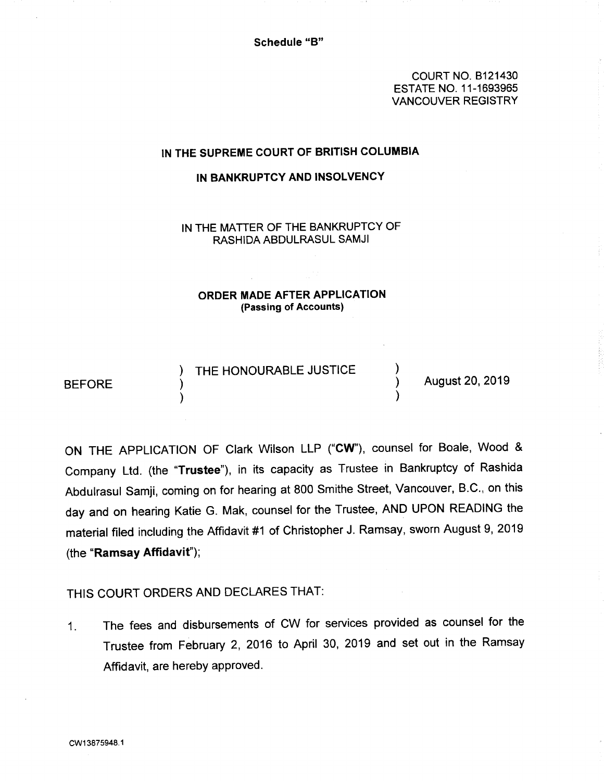COURT NO. B121430 ESTATE NO. 11-1693965 VANCOUVER REGISTRY

### IN THE SUPREME COURT OF BRITISH COLUMBIA

### IN BANKRUPTCY AND INSOLVENCY

IN THE MATTER OF THE BANKRUPTCY OF RASHIDA ABDULRASUL SAMJI

### ORDER MADE AFTER APPLICATION (Passing of Accounts)

THE HONOURABLE JUSTICE

BEFORE  $(1, 2)$  (1)  $(2, 2)$  (1)  $(3, 2)$  (1)  $(4, 2)$  (1)  $(5, 2)$  (1)  $(6, 2)$  (1)  $(7, 2)$  (1)  $(8, 2)$  (1)  $(9, 2)$  (1)  $(1, 2)$  (1)  $(1, 2)$  (1)  $(1, 2)$  (1)  $(1, 2)$  (1)  $(1, 2)$  (1)  $(1, 2)$  (1)  $(1, 2)$  (1)  $(1, 2)$ 

<sup>O</sup>N THE APPLICATION OF Clark Wilson LLP ("CW"), counsel for Boale, Wood & <sup>C</sup>ompany Ltd. (the "Trustee"), in its capacity as Trustee in Bankruptcy of Rashida <sup>A</sup>bdulrasul Samji, coming on for hearing at 800 Smithe Street, Vancouver, B.C., on this <sup>d</sup>ay and on hearing Katie G. Mak, counsel for the Trustee, AND UPON READING the <sup>m</sup>aterial filed including the Affidavit #1 of Christopher J. Ramsay, sworn August 9, <sup>2019</sup> (the "Ramsay Affidavit");

### <sup>T</sup>HIS COURT ORDERS AND DECLARES THAT:

 $\lambda$ 

)

<sup>1</sup>. The fees and disbursements of CW for services provided as counsel for the <sup>T</sup>rustee from February 2, 2016 to April 30, 2019 and set out in the Ramsay <sup>A</sup>ffidavit, are hereby approved.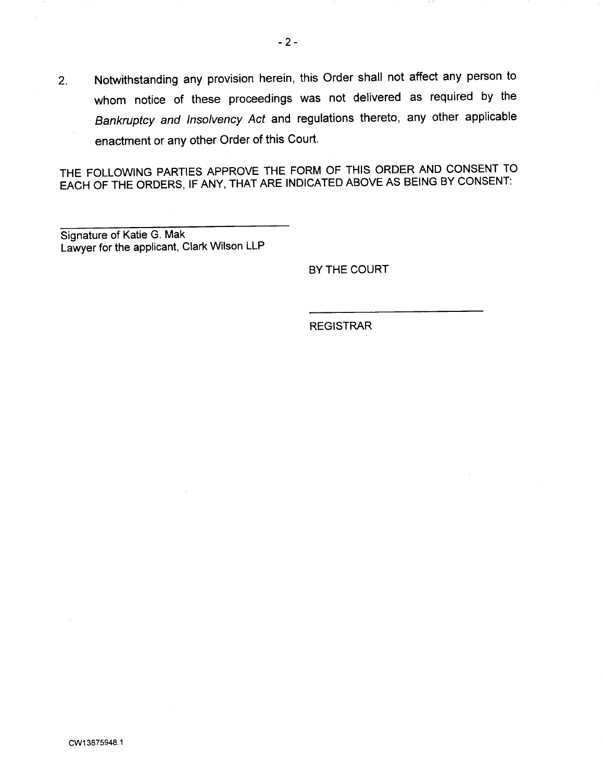2. Notwithstanding any provision herein, this Order shall not affect any person to <sup>w</sup>hom notice of these proceedings was not delivered as required by the <sup>B</sup>ankruptcy and Insolvency Act and regulations thereto, any other applicable <sup>e</sup>nactment or any other Order of this Court.

<sup>T</sup>HE FOLLOWING PARTIES APPROVE THE FORM OF THIS ORDER AND CONSENT TO <sup>E</sup>ACH OF THE ORDERS, IF ANY, THAT ARE INDICATED ABOVE AS BEING BY CONSENT:

<sup>S</sup>ignature of Katie G. Mak <sup>L</sup>awyer for the applicant, Clark Wilson LLP

BY THE COURT

REGISTRAR